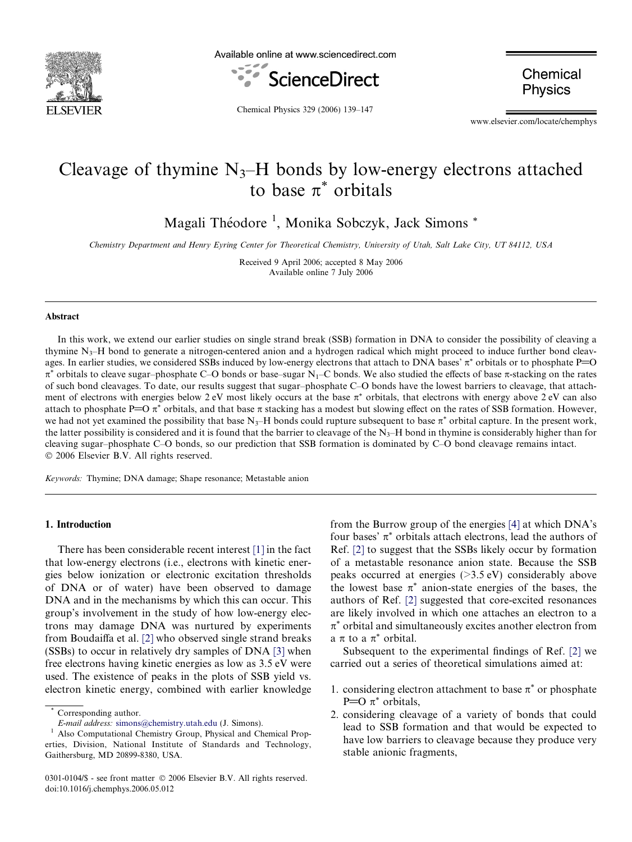

Available online at www.sciencedirect.com



Chemical **Physics** 

Chemical Physics 329 (2006) 139–147

www.elsevier.com/locate/chemphys

# Cleavage of thymine  $N_3$ –H bonds by low-energy electrons attached to base  $\pi^*$  orbitals

Magali Théodore<sup>1</sup>, Monika Sobczyk, Jack Simons \*

Chemistry Department and Henry Eyring Center for Theoretical Chemistry, University of Utah, Salt Lake City, UT 84112, USA

Received 9 April 2006; accepted 8 May 2006 Available online 7 July 2006

#### Abstract

In this work, we extend our earlier studies on single strand break (SSB) formation in DNA to consider the possibility of cleaving a thymine  $N<sub>3</sub>$ –H bond to generate a nitrogen-centered anion and a hydrogen radical which might proceed to induce further bond cleavages. In earlier studies, we considered SSBs induced by low-energy electrons that attach to DNA bases'  $\pi^*$  orbitals or to phosphate P=O  $\pi^*$  orbitals to cleave sugar–phosphate C–O bonds or base–sugar N<sub>1</sub>–C bonds. We also studied the effects of base  $\pi$ -stacking on the rates of such bond cleavages. To date, our results suggest that sugar–phosphate C–O bonds have the lowest barriers to cleavage, that attachment of electrons with energies below 2 eV most likely occurs at the base  $\pi^*$  orbitals, that electrons with energy above 2 eV can also attach to phosphate P=O  $\pi^*$  orbitals, and that base  $\pi$  stacking has a modest but slowing effect on the rates of SSB formation. However, we had not yet examined the possibility that base N<sub>3</sub>–H bonds could rupture subsequent to base  $\pi^*$  orbital capture. In the present work, the latter possibility is considered and it is found that the barrier to cleavage of the  $N_3$ –H bond in thymine is considerably higher than for cleaving sugar–phosphate C–O bonds, so our prediction that SSB formation is dominated by C–O bond cleavage remains intact. © 2006 Elsevier B.V. All rights reserved.

Keywords: Thymine; DNA damage; Shape resonance; Metastable anion

# 1. Introduction

There has been considerable recent interest [\[1\]](#page-8-0) in the fact that low-energy electrons (i.e., electrons with kinetic energies below ionization or electronic excitation thresholds of DNA or of water) have been observed to damage DNA and in the mechanisms by which this can occur. This group's involvement in the study of how low-energy electrons may damage DNA was nurtured by experiments from Boudaiffa et al. [\[2\]](#page-8-0) who observed single strand breaks (SSBs) to occur in relatively dry samples of DNA [\[3\]](#page-8-0) when free electrons having kinetic energies as low as 3.5 eV were used. The existence of peaks in the plots of SSB yield vs. electron kinetic energy, combined with earlier knowledge from the Burrow group of the energies [\[4\]](#page-8-0) at which DNA's four bases'  $\pi^*$  orbitals attach electrons, lead the authors of Ref. [\[2\]](#page-8-0) to suggest that the SSBs likely occur by formation of a metastable resonance anion state. Because the SSB peaks occurred at energies (>3.5 eV) considerably above the lowest base  $\pi^*$  anion-state energies of the bases, the authors of Ref. [\[2\]](#page-8-0) suggested that core-excited resonances are likely involved in which one attaches an electron to a  $\pi^*$  orbital and simultaneously excites another electron from a  $\pi$  to a  $\pi^*$  orbital.

Subsequent to the experimental findings of Ref. [\[2\]](#page-8-0) we carried out a series of theoretical simulations aimed at:

- 1. considering electron attachment to base  $\pi^*$  or phosphate P= $O \pi^*$  orbitals,
- 2. considering cleavage of a variety of bonds that could lead to SSB formation and that would be expected to have low barriers to cleavage because they produce very stable anionic fragments,

Corresponding author.

 $^{\rm I}$   $\it E\mbox{-}mail$   $address:$  [simons@chemistry.utah.edu](mailto:simons@chemistry.utah.edu) (J. Simons). $^{\rm I}$  Also Computational Chemistry Group, Physical and Chemical Properties, Division, National Institute of Standards and Technology, Gaithersburg, MD 20899-8380, USA.

<sup>0301-0104/\$ -</sup> see front matter © 2006 Elsevier B.V. All rights reserved. doi:10.1016/j.chemphys.2006.05.012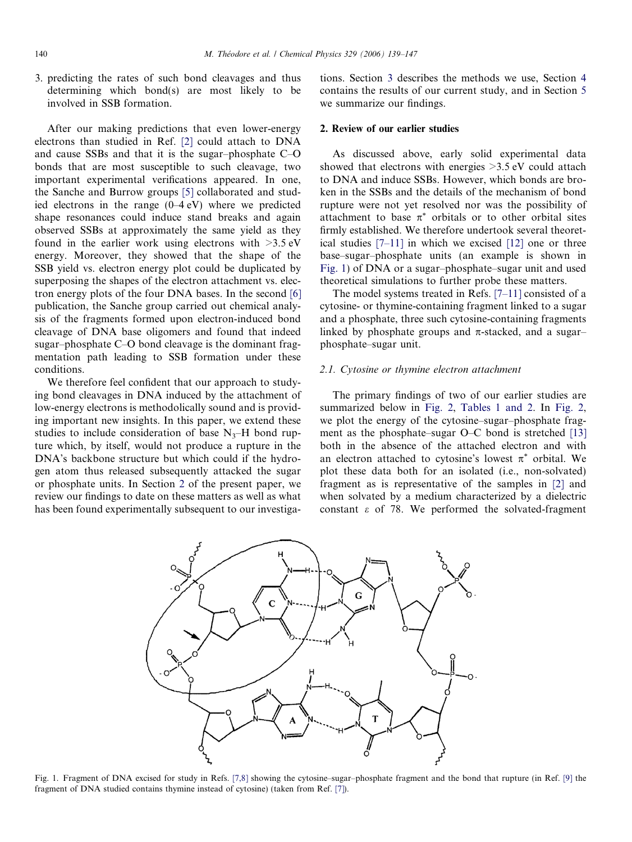<span id="page-1-0"></span>3. predicting the rates of such bond cleavages and thus determining which bond(s) are most likely to be involved in SSB formation.

After our making predictions that even lower-energy electrons than studied in Ref. [\[2\]](#page-8-0) could attach to DNA and cause SSBs and that it is the sugar–phosphate C–O bonds that are most susceptible to such cleavage, two important experimental verifications appeared. In one, the Sanche and Burrow groups [\[5\]](#page-8-0) collaborated and studied electrons in the range (0–4 eV) where we predicted shape resonances could induce stand breaks and again observed SSBs at approximately the same yield as they found in the earlier work using electrons with  $>3.5$  eV energy. Moreover, they showed that the shape of the SSB yield vs. electron energy plot could be duplicated by superposing the shapes of the electron attachment vs. electron energy plots of the four DNA bases. In the second [\[6\]](#page-8-0) publication, the Sanche group carried out chemical analysis of the fragments formed upon electron-induced bond cleavage of DNA base oligomers and found that indeed sugar–phosphate C–O bond cleavage is the dominant fragmentation path leading to SSB formation under these conditions.

We therefore feel confident that our approach to studying bond cleavages in DNA induced by the attachment of low-energy electrons is methodolically sound and is providing important new insights. In this paper, we extend these studies to include consideration of base  $N_3$ –H bond rupture which, by itself, would not produce a rupture in the DNA's backbone structure but which could if the hydrogen atom thus released subsequently attacked the sugar or phosphate units. In Section 2 of the present paper, we review our findings to date on these matters as well as what has been found experimentally subsequent to our investigations. Section [3](#page-5-0) describes the methods we use, Section [4](#page-6-0) contains the results of our current study, and in Section [5](#page-7-0) we summarize our findings.

#### 2. Review of our earlier studies

As discussed above, early solid experimental data showed that electrons with energies >3.5 eV could attach to DNA and induce SSBs. However, which bonds are broken in the SSBs and the details of the mechanism of bond rupture were not yet resolved nor was the possibility of attachment to base  $\pi^*$  orbitals or to other orbital sites firmly established. We therefore undertook several theoretical studies [\[7–11\]](#page-8-0) in which we excised [\[12\]](#page-8-0) one or three base–sugar–phosphate units (an example is shown in Fig. 1) of DNA or a sugar–phosphate–sugar unit and used theoretical simulations to further probe these matters.

The model systems treated in Refs. [\[7–11\]](#page-8-0) consisted of a cytosine- or thymine-containing fragment linked to a sugar and a phosphate, three such cytosine-containing fragments linked by phosphate groups and  $\pi$ -stacked, and a sugar– phosphate–sugar unit.

#### 2.1. Cytosine or thymine electron attachment

The primary findings of two of our earlier studies are summarized below in [Fig. 2](#page-2-0), [Tables 1 and 2](#page-2-0). In Fig. 2, we plot the energy of the cytosine–sugar–phosphate fragment as the phosphate–sugar O–C bond is stretched [\[13\]](#page-8-0) both in the absence of the attached electron and with an electron attached to cytosine's lowest  $\pi^*$  orbital. We plot these data both for an isolated (i.e., non-solvated) fragment as is representative of the samples in [\[2\]](#page-8-0) and when solvated by a medium characterized by a dielectric constant  $\varepsilon$  of 78. We performed the solvated-fragment



Fig. 1. Fragment of DNA excised for study in Refs. [\[7,8\]](#page-8-0) showing the cytosine–sugar–phosphate fragment and the bond that rupture (in Ref. [\[9\]](#page-8-0) the fragment of DNA studied contains thymine instead of cytosine) (taken from Ref. [\[7\]](#page-8-0)).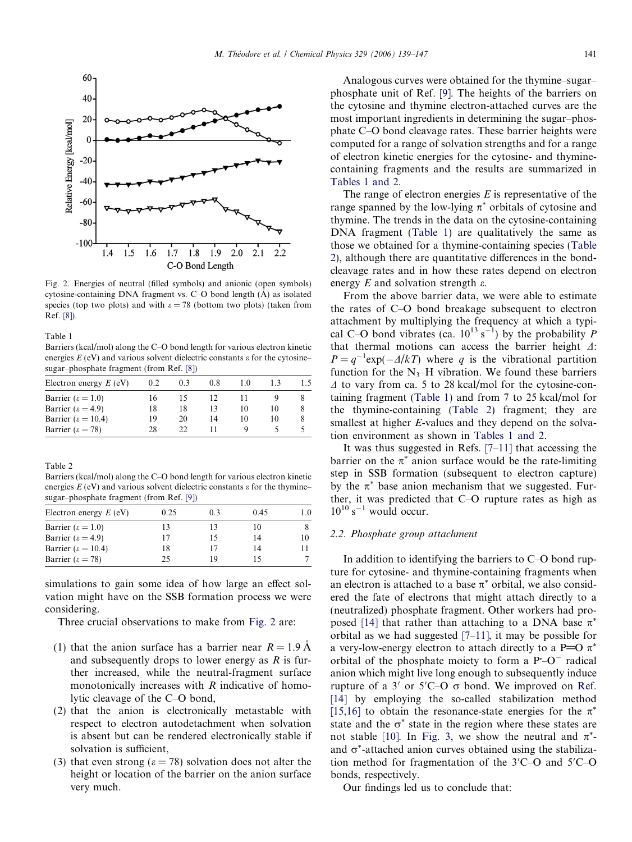<span id="page-2-0"></span>

Fig. 2. Energies of neutral (filled symbols) and anionic (open symbols) cytosine-containing DNA fragment vs.  $C-O$  bond length  $(A)$  as isolated species (top two plots) and with  $\varepsilon = 78$  (bottom two plots) (taken from Ref. [\[8\]\)](#page-8-0).

Table 1

Barriers (kcal/mol) along the C–O bond length for various electron kinetic energies  $E$  (eV) and various solvent dielectric constants  $\varepsilon$  for the cytosine– sugar–phosphate fragment (from Ref. [\[8\]](#page-8-0))

| Electron energy $E$ (eV)      | 0.2 | 0.3 | 0.8 | 10 |    | 15 |
|-------------------------------|-----|-----|-----|----|----|----|
| Barrier ( $\epsilon = 1.0$ )  | 16  |     |     |    |    |    |
| Barrier ( $\epsilon$ = 4.9)   | 18  | 18  |     | 10 |    |    |
| Barrier ( $\epsilon = 10.4$ ) | 19  | 20  | 14  | 10 | 10 |    |
| Barrier ( $\epsilon = 78$ )   | 28  |     |     |    |    |    |

Table 2

Barriers (kcal/mol) along the C–O bond length for various electron kinetic energies  $E$  (eV) and various solvent dielectric constants  $\varepsilon$  for the thymine– sugar–phosphate fragment (from Ref. [\[9\]](#page-8-0))

| Electron energy $E$ (eV)<br>0.45<br>03<br>0.25<br>Barrier ( $\epsilon = 1.0$ )<br>13<br>10<br>Barrier ( $\epsilon$ = 4.9)<br>17<br>14<br>15<br>Barrier ( $\epsilon = 10.4$ )<br>18<br>17<br>14<br>Barrier ( $\epsilon = 78$ )<br>25<br>19 |  |  |     |
|-------------------------------------------------------------------------------------------------------------------------------------------------------------------------------------------------------------------------------------------|--|--|-----|
|                                                                                                                                                                                                                                           |  |  | 1.0 |
|                                                                                                                                                                                                                                           |  |  | 8.  |
|                                                                                                                                                                                                                                           |  |  | 10  |
|                                                                                                                                                                                                                                           |  |  |     |
|                                                                                                                                                                                                                                           |  |  |     |

simulations to gain some idea of how large an effect solvation might have on the SSB formation process we were considering.

Three crucial observations to make from Fig. 2 are:

- (1) that the anion surface has a barrier near  $R = 1.9$  A and subsequently drops to lower energy as  $R$  is further increased, while the neutral-fragment surface monotonically increases with  $R$  indicative of homolytic cleavage of the C–O bond,
- (2) that the anion is electronically metastable with respect to electron autodetachment when solvation is absent but can be rendered electronically stable if solvation is sufficient,
- (3) that even strong ( $\varepsilon$  = 78) solvation does not alter the height or location of the barrier on the anion surface very much.

Analogous curves were obtained for the thymine–sugar– phosphate unit of Ref. [\[9\].](#page-8-0) The heights of the barriers on the cytosine and thymine electron-attached curves are the most important ingredients in determining the sugar–phosphate C–O bond cleavage rates. These barrier heights were computed for a range of solvation strengths and for a range of electron kinetic energies for the cytosine- and thyminecontaining fragments and the results are summarized in Tables 1 and 2.

The range of electron energies  $E$  is representative of the range spanned by the low-lying  $\pi^*$  orbitals of cytosine and thymine. The trends in the data on the cytosine-containing DNA fragment (Table 1) are qualitatively the same as those we obtained for a thymine-containing species (Table 2), although there are quantitative differences in the bondcleavage rates and in how these rates depend on electron energy E and solvation strength  $\varepsilon$ .

From the above barrier data, we were able to estimate the rates of C–O bond breakage subsequent to electron attachment by multiplying the frequency at which a typical C–O bond vibrates (ca.  $10^{13} s^{-1}$ ) by the probability P that thermal motions can access the barrier height  $\Delta$ :  $P = q^{-1} \exp(-\Delta/kT)$  where q is the vibrational partition function for the  $N_3$ –H vibration. We found these barriers  $\Delta$  to vary from ca. 5 to 28 kcal/mol for the cytosine-containing fragment (Table 1) and from 7 to 25 kcal/mol for the thymine-containing (Table 2) fragment; they are smallest at higher *E*-values and they depend on the solvation environment as shown in Tables 1 and 2.

It was thus suggested in Refs.  $[7-11]$  that accessing the barrier on the  $\pi^*$  anion surface would be the rate-limiting step in SSB formation (subsequent to electron capture) by the  $\pi^*$  base anion mechanism that we suggested. Further, it was predicted that C–O rupture rates as high as  $10^{10}$  s<sup>-1</sup> would occur.

## 2.2. Phosphate group attachment

In addition to identifying the barriers to C–O bond rupture for cytosine- and thymine-containing fragments when an electron is attached to a base  $\pi^*$  orbital, we also considered the fate of electrons that might attach directly to a (neutralized) phosphate fragment. Other workers had pro-posed [\[14\]](#page-8-0) that rather than attaching to a DNA base  $\pi^*$ orbital as we had suggested [\[7–11\],](#page-8-0) it may be possible for a very-low-energy electron to attach directly to a P=O  $\pi^*$ orbital of the phosphate moiety to form a  $P$ -O<sup>-</sup> radical anion which might live long enough to subsequently induce rupture of a  $3'$  or  $5'$ C-O  $\sigma$  bond. We improved on [Ref.](#page-8-0) [\[14\]](#page-8-0) by employing the so-called stabilization method [\[15,16\]](#page-8-0) to obtain the resonance-state energies for the  $\pi^*$ state and the  $\sigma^*$  state in the region where these states are not stable [\[10\].](#page-8-0) In [Fig. 3,](#page-3-0) we show the neutral and  $\pi^*$ and  $\sigma^*$ -attached anion curves obtained using the stabilization method for fragmentation of the  $3^\prime$ C-O and  $5^\prime$ C-O bonds, respectively.

Our findings led us to conclude that: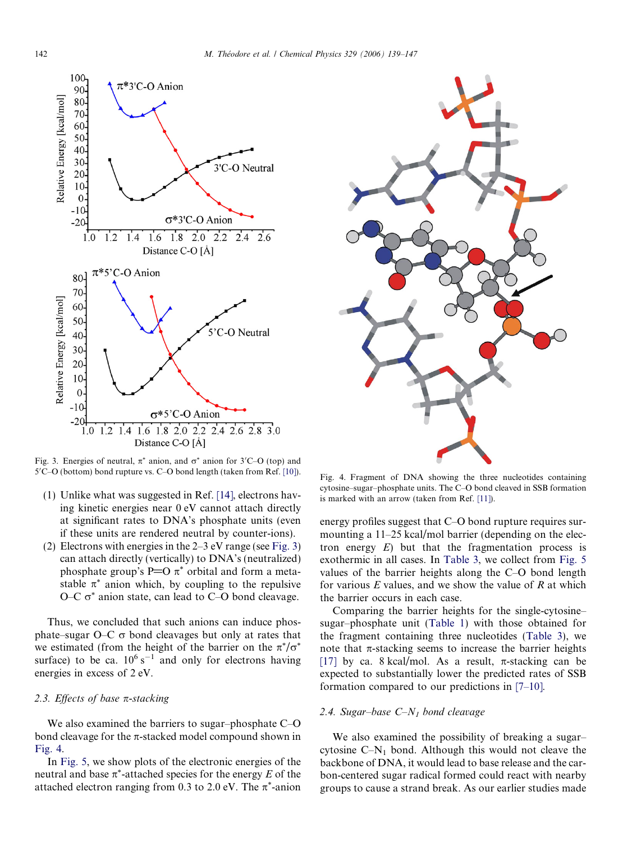<span id="page-3-0"></span>

Fig. 3. Energies of neutral,  $\pi^*$  anion, and  $\sigma^*$  anion for 3'C–O (top) and 5'C-O (bottom) bond rupture vs. C-O bond length (taken from Ref. [10]).

- (1) Unlike what was suggested in Ref. [\[14\],](#page-8-0) electrons having kinetic energies near 0 eV cannot attach directly at significant rates to DNA's phosphate units (even if these units are rendered neutral by counter-ions).
- (2) Electrons with energies in the  $2-3$  eV range (see Fig. 3) can attach directly (vertically) to DNA's (neutralized) phosphate group's P=O  $\pi^*$  orbital and form a metastable  $\pi^*$  anion which, by coupling to the repulsive O–C  $\sigma^*$  anion state, can lead to C–O bond cleavage.

Thus, we concluded that such anions can induce phosphate–sugar  $O-C \sigma$  bond cleavages but only at rates that we estimated (from the height of the barrier on the  $\pi^*/\sigma^*$ surface) to be ca.  $10^6$  s<sup>-1</sup> and only for electrons having energies in excess of 2 eV.

# 2.3. Effects of base  $\pi$ -stacking

We also examined the barriers to sugar–phosphate C–O bond cleavage for the  $\pi$ -stacked model compound shown in Fig. 4.

In [Fig. 5,](#page-4-0) we show plots of the electronic energies of the neutral and base  $\pi^*$ -attached species for the energy E of the attached electron ranging from 0.3 to 2.0 eV. The  $\pi^*$ -anion



Fig. 4. Fragment of DNA showing the three nucleotides containing cytosine–sugar–phosphate units. The C–O bond cleaved in SSB formation is marked with an arrow (taken from Ref. [\[11\]](#page-8-0)).

energy profiles suggest that C–O bond rupture requires surmounting a 11–25 kcal/mol barrier (depending on the electron energy  $E$ ) but that the fragmentation process is exothermic in all cases. In [Table 3,](#page-4-0) we collect from [Fig. 5](#page-4-0) values of the barrier heights along the C–O bond length for various  $E$  values, and we show the value of  $R$  at which the barrier occurs in each case.

Comparing the barrier heights for the single-cytosine– sugar–phosphate unit [\(Table 1](#page-2-0)) with those obtained for the fragment containing three nucleotides ([Table 3](#page-4-0)), we note that  $\pi$ -stacking seems to increase the barrier heights [\[17\]](#page-8-0) by ca. 8 kcal/mol. As a result,  $\pi$ -stacking can be expected to substantially lower the predicted rates of SSB formation compared to our predictions in [\[7–10\]](#page-8-0).

## 2.4. Sugar–base  $C-N_1$  bond cleavage

We also examined the possibility of breaking a sugar– cytosine  $C-N_1$  bond. Although this would not cleave the backbone of DNA, it would lead to base release and the carbon-centered sugar radical formed could react with nearby groups to cause a strand break. As our earlier studies made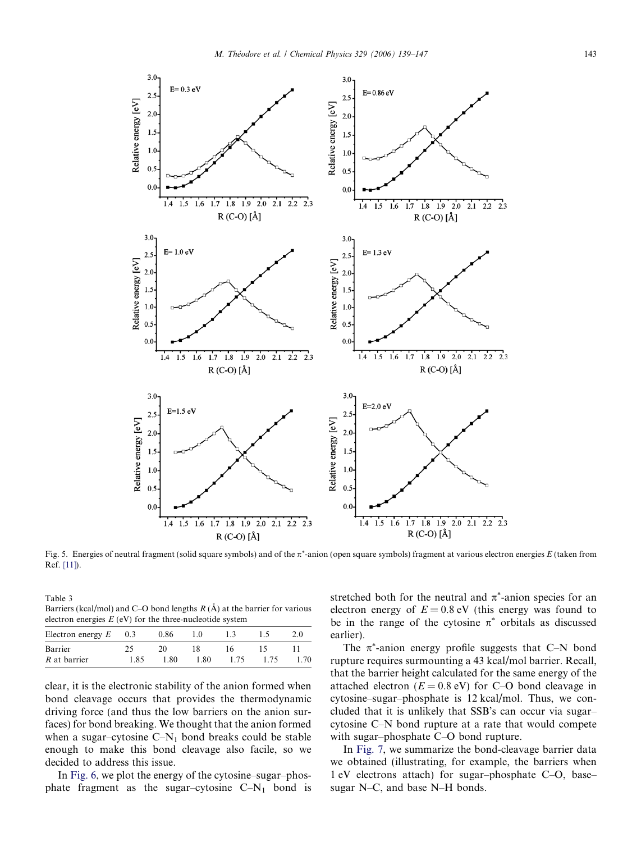<span id="page-4-0"></span>

Fig. 5. Energies of neutral fragment (solid square symbols) and of the  $\pi^*$ -anion (open square symbols) fragment at various electron energies  $E$  (taken from Ref. [\[11\]\)](#page-8-0).

Table 3 Barriers (kcal/mol) and C–O bond lengths  $R(A)$  at the barrier for various electron energies  $E$  (eV) for the three-nucleotide system

| Electron energy $E$ | 0.3  | 0.86 | 1.0  |     |     | 2.0  |
|---------------------|------|------|------|-----|-----|------|
| Barrier             |      |      |      | I h |     |      |
| R at barrier        | 1.85 | 1.80 | 1.80 | 175 | 175 | 1.70 |

clear, it is the electronic stability of the anion formed when bond cleavage occurs that provides the thermodynamic driving force (and thus the low barriers on the anion surfaces) for bond breaking. We thought that the anion formed when a sugar–cytosine  $C-N_1$  bond breaks could be stable enough to make this bond cleavage also facile, so we decided to address this issue.

In [Fig. 6,](#page-5-0) we plot the energy of the cytosine–sugar–phosphate fragment as the sugar–cytosine  $C-N_1$  bond is stretched both for the neutral and  $\pi^*$ -anion species for an electron energy of  $E = 0.8$  eV (this energy was found to be in the range of the cytosine  $\pi^*$  orbitals as discussed earlier).

The  $\pi^*$ -anion energy profile suggests that C–N bond rupture requires surmounting a 43 kcal/mol barrier. Recall, that the barrier height calculated for the same energy of the attached electron ( $E = 0.8$  eV) for C–O bond cleavage in cytosine–sugar–phosphate is 12 kcal/mol. Thus, we concluded that it is unlikely that SSB's can occur via sugar– cytosine C–N bond rupture at a rate that would compete with sugar–phosphate C–O bond rupture.

In [Fig. 7](#page-5-0), we summarize the bond-cleavage barrier data we obtained (illustrating, for example, the barriers when 1 eV electrons attach) for sugar–phosphate C–O, base– sugar N–C, and base N–H bonds.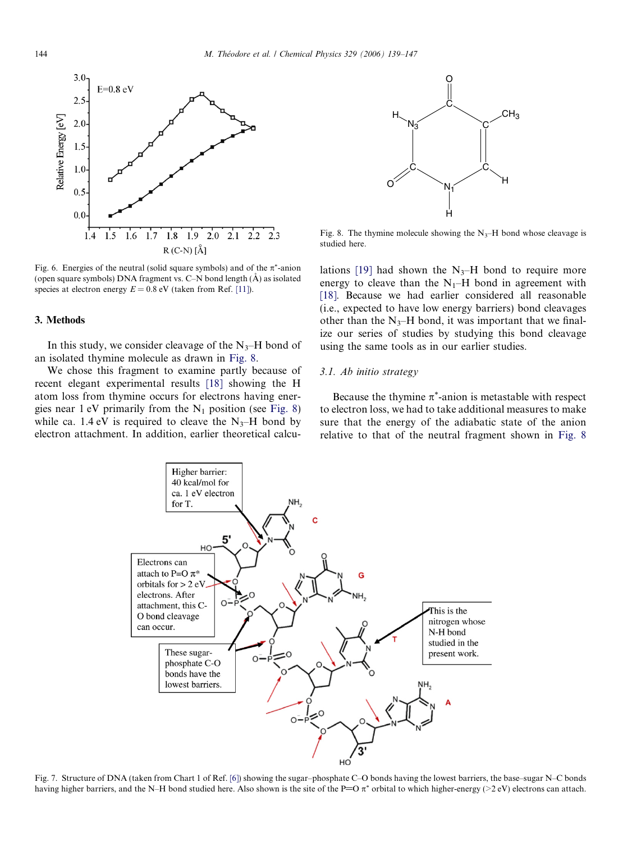<span id="page-5-0"></span>

Fig. 6. Energies of the neutral (solid square symbols) and of the  $\pi^*$ -anion (open square symbols) DNA fragment vs. C-N bond length  $(\AA)$  as isolated species at electron energy  $E = 0.8$  eV (taken from Ref. [\[11\]\)](#page-8-0).

#### 3. Methods

In this study, we consider cleavage of the  $N_3$ –H bond of an isolated thymine molecule as drawn in Fig. 8.

We chose this fragment to examine partly because of recent elegant experimental results [\[18\]](#page-8-0) showing the H atom loss from thymine occurs for electrons having energies near 1 eV primarily from the  $N_1$  position (see Fig. 8) while ca. 1.4 eV is required to cleave the  $N_3$ –H bond by electron attachment. In addition, earlier theoretical calcu-



Fig. 8. The thymine molecule showing the  $N_3$ –H bond whose cleavage is studied here.

lations [\[19\]](#page-8-0) had shown the  $N_3$ –H bond to require more energy to cleave than the  $N_1$ –H bond in agreement with [\[18\]](#page-8-0). Because we had earlier considered all reasonable (i.e., expected to have low energy barriers) bond cleavages other than the  $N_3$ –H bond, it was important that we finalize our series of studies by studying this bond cleavage using the same tools as in our earlier studies.

#### 3.1. Ab initio strategy

Because the thymine  $\pi^*$ -anion is metastable with respect to electron loss, we had to take additional measures to make sure that the energy of the adiabatic state of the anion relative to that of the neutral fragment shown in Fig. 8



Fig. 7. Structure of DNA (taken from Chart 1 of Ref. [\[6\]\)](#page-8-0) showing the sugar–phosphate C–O bonds having the lowest barriers, the base–sugar N–C bonds having higher barriers, and the N–H bond studied here. Also shown is the site of the P=O  $\pi^*$  orbital to which higher-energy (>2 eV) electrons can attach.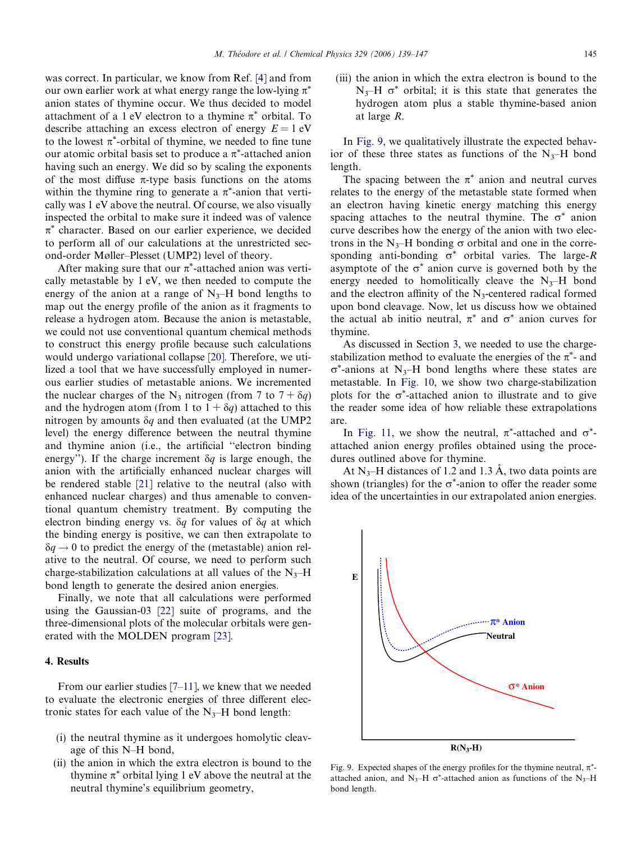<span id="page-6-0"></span>was correct. In particular, we know from Ref. [\[4\]](#page-8-0) and from our own earlier work at what energy range the low-lying  $\pi^*$ anion states of thymine occur. We thus decided to model attachment of a 1 eV electron to a thymine  $\pi^*$  orbital. To describe attaching an excess electron of energy  $E = 1$  eV to the lowest  $\pi^*$ -orbital of thymine, we needed to fine tune our atomic orbital basis set to produce a  $\pi^*$ -attached anion having such an energy. We did so by scaling the exponents of the most diffuse  $\pi$ -type basis functions on the atoms within the thymine ring to generate a  $\pi^*$ -anion that vertically was 1 eV above the neutral. Of course, we also visually inspected the orbital to make sure it indeed was of valence  $\pi^*$  character. Based on our earlier experience, we decided to perform all of our calculations at the unrestricted second-order Møller–Plesset (UMP2) level of theory.

After making sure that our  $\pi^*$ -attached anion was vertically metastable by 1 eV, we then needed to compute the energy of the anion at a range of  $N_{3}$ –H bond lengths to map out the energy profile of the anion as it fragments to release a hydrogen atom. Because the anion is metastable, we could not use conventional quantum chemical methods to construct this energy profile because such calculations would undergo variational collapse [\[20\]](#page-8-0). Therefore, we utilized a tool that we have successfully employed in numerous earlier studies of metastable anions. We incremented the nuclear charges of the N<sub>3</sub> nitrogen (from 7 to  $7 + \delta q$ ) and the hydrogen atom (from 1 to  $1 + \delta q$ ) attached to this nitrogen by amounts  $\delta q$  and then evaluated (at the UMP2 level) the energy difference between the neutral thymine and thymine anion (i.e., the artificial ''electron binding energy"). If the charge increment  $\delta q$  is large enough, the anion with the artificially enhanced nuclear charges will be rendered stable [\[21\]](#page-8-0) relative to the neutral (also with enhanced nuclear charges) and thus amenable to conventional quantum chemistry treatment. By computing the electron binding energy vs.  $\delta q$  for values of  $\delta q$  at which the binding energy is positive, we can then extrapolate to  $\delta q \rightarrow 0$  to predict the energy of the (metastable) anion relative to the neutral. Of course, we need to perform such charge-stabilization calculations at all values of the  $N_3$ –H bond length to generate the desired anion energies.

Finally, we note that all calculations were performed using the Gaussian-03 [\[22\]](#page-8-0) suite of programs, and the three-dimensional plots of the molecular orbitals were generated with the MOLDEN program [\[23\]](#page-8-0).

# 4. Results

From our earlier studies [\[7–11\]](#page-8-0), we knew that we needed to evaluate the electronic energies of three different electronic states for each value of the  $N_3$ –H bond length:

- (i) the neutral thymine as it undergoes homolytic cleavage of this N–H bond,
- (ii) the anion in which the extra electron is bound to the thymine  $\pi^*$  orbital lying 1 eV above the neutral at the neutral thymine's equilibrium geometry,

(iii) the anion in which the extra electron is bound to the  $N_3$ –H  $\sigma^*$  orbital; it is this state that generates the hydrogen atom plus a stable thymine-based anion at large R.

In Fig. 9, we qualitatively illustrate the expected behavior of these three states as functions of the  $N_3$ –H bond length.

The spacing between the  $\pi^*$  anion and neutral curves relates to the energy of the metastable state formed when an electron having kinetic energy matching this energy spacing attaches to the neutral thymine. The  $\sigma^*$  anion curve describes how the energy of the anion with two electrons in the N<sub>3</sub>–H bonding  $\sigma$  orbital and one in the corresponding anti-bonding  $\sigma^*$  orbital varies. The large-R asymptote of the  $\sigma^*$  anion curve is governed both by the energy needed to homolitically cleave the  $N_3$ –H bond and the electron affinity of the  $N_3$ -centered radical formed upon bond cleavage. Now, let us discuss how we obtained the actual ab initio neutral,  $\pi^*$  and  $\sigma^*$  anion curves for thymine.

As discussed in Section [3](#page-5-0), we needed to use the chargestabilization method to evaluate the energies of the  $\pi^*$ - and  $\sigma^*$ -anions at N<sub>3</sub>–H bond lengths where these states are metastable. In [Fig. 10](#page-7-0), we show two charge-stabilization plots for the  $\sigma^*$ -attached anion to illustrate and to give the reader some idea of how reliable these extrapolations are.

In [Fig. 11](#page-7-0), we show the neutral,  $\pi^*$ -attached and  $\sigma^*$ attached anion energy profiles obtained using the procedures outlined above for thymine.

At  $N_3$ –H distances of 1.2 and 1.3 Å, two data points are shown (triangles) for the  $\sigma^*$ -anion to offer the reader some idea of the uncertainties in our extrapolated anion energies.

Fig. 9. Expected shapes of the energy profiles for the thymine neutral,  $\pi^*$ attached anion, and N<sub>3</sub>–H  $\sigma^*$ -attached anion as functions of the N<sub>3</sub>–H bond length.

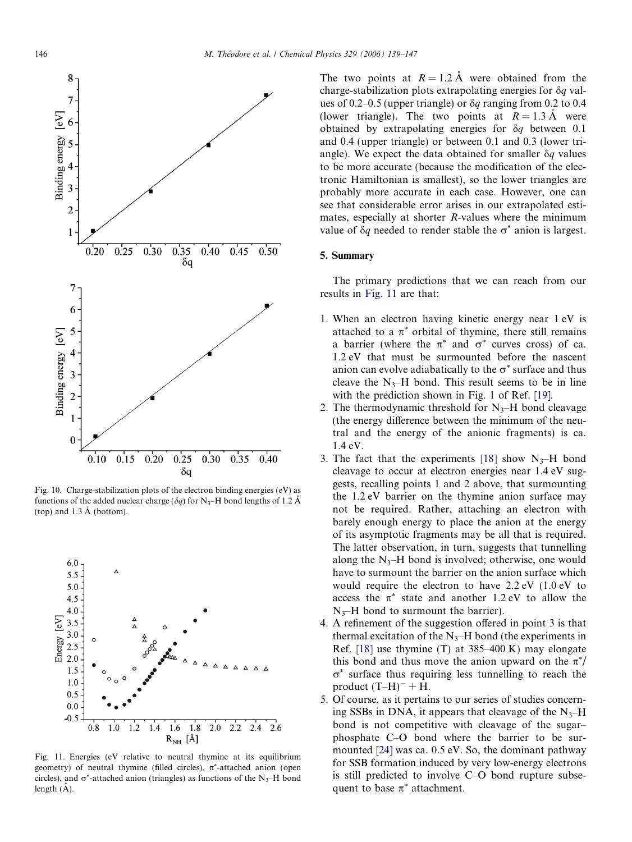<span id="page-7-0"></span>

Fig. 10. Charge-stabilization plots of the electron binding energies (eV) as functions of the added nuclear charge ( $\delta q$ ) for N<sub>3</sub>–H bond lengths of 1.2 Å (top) and  $1.3 \text{ Å}$  (bottom).



Fig. 11. Energies (eV relative to neutral thymine at its equilibrium geometry) of neutral thymine (filled circles),  $\pi^*$ -attached anion (open circles), and  $\sigma^*$ -attached anion (triangles) as functions of the N<sub>3</sub>–H bond length  $(\AA)$ .

The two points at  $R = 1.2 \text{ Å}$  were obtained from the charge-stabilization plots extrapolating energies for  $\delta q$  values of 0.2–0.5 (upper triangle) or  $\delta q$  ranging from 0.2 to 0.4 (lower triangle). The two points at  $R = 1.3 \text{ Å}$  were obtained by extrapolating energies for  $\delta q$  between 0.1 and 0.4 (upper triangle) or between 0.1 and 0.3 (lower triangle). We expect the data obtained for smaller  $\delta q$  values to be more accurate (because the modification of the electronic Hamiltonian is smallest), so the lower triangles are probably more accurate in each case. However, one can see that considerable error arises in our extrapolated estimates, especially at shorter *-values where the minimum* value of  $\delta q$  needed to render stable the  $\sigma^*$  anion is largest.

# 5. Summary

The primary predictions that we can reach from our results in Fig. 11 are that:

- 1. When an electron having kinetic energy near 1 eV is attached to a  $\pi^*$  orbital of thymine, there still remains a barrier (where the  $\pi^*$  and  $\sigma^*$  curves cross) of ca. 1.2 eV that must be surmounted before the nascent anion can evolve adiabatically to the  $\sigma^*$  surface and thus cleave the  $N_3$ –H bond. This result seems to be in line with the prediction shown in Fig. 1 of Ref. [\[19\].](#page-8-0)
- 2. The thermodynamic threshold for  $N_{3}$ –H bond cleavage (the energy difference between the minimum of the neutral and the energy of the anionic fragments) is ca. 1.4 eV.
- 3. The fact that the experiments [\[18\]](#page-8-0) show  $N_3$ –H bond cleavage to occur at electron energies near 1.4 eV suggests, recalling points 1 and 2 above, that surmounting the 1.2 eV barrier on the thymine anion surface may not be required. Rather, attaching an electron with barely enough energy to place the anion at the energy of its asymptotic fragments may be all that is required. The latter observation, in turn, suggests that tunnelling along the  $N_3$ –H bond is involved; otherwise, one would have to surmount the barrier on the anion surface which would require the electron to have 2.2 eV (1.0 eV to access the  $\pi^*$  state and another 1.2 eV to allow the  $N_{3}$ –H bond to surmount the barrier).
- 4. A refinement of the suggestion offered in point 3 is that thermal excitation of the  $N_3$ –H bond (the experiments in Ref. [\[18\]](#page-8-0) use thymine (T) at 385–400 K) may elongate this bond and thus move the anion upward on the  $\pi^*/$  $\sigma^*$  surface thus requiring less tunnelling to reach the product  $(T-H)^{-} + \overline{H}$ .
- 5. Of course, as it pertains to our series of studies concerning SSBs in DNA, it appears that cleavage of the  $N_{3}$ –H bond is not competitive with cleavage of the sugar– phosphate C–O bond where the barrier to be surmounted [\[24\]](#page-8-0) was ca. 0.5 eV. So, the dominant pathway for SSB formation induced by very low-energy electrons is still predicted to involve C–O bond rupture subsequent to base  $\pi^*$  attachment.